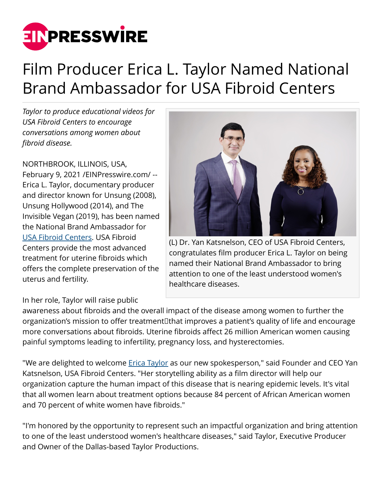

## Film Producer Erica L. Taylor Named National Brand Ambassador for USA Fibroid Centers

*Taylor to produce educational videos for USA Fibroid Centers to encourage conversations among women about fibroid disease.*

NORTHBROOK, ILLINOIS, USA, February 9, 2021 [/EINPresswire.com](http://www.einpresswire.com)/ -- Erica L. Taylor, documentary producer and director known for Unsung (2008), Unsung Hollywood (2014), and The Invisible Vegan (2019), has been named the National Brand Ambassador for [USA Fibroid Centers](https://www.usafibroidcenters.com/). USA Fibroid Centers provide the most advanced treatment for uterine fibroids which offers the complete preservation of the uterus and fertility.

## In her role, Taylor will raise public



(L) Dr. Yan Katsnelson, CEO of USA Fibroid Centers, congratulates film producer Erica L. Taylor on being named their National Brand Ambassador to bring attention to one of the least understood women's healthcare diseases.

awareness about fibroids and the overall impact of the disease among women to further the organization's mission to offer treatment that improves a patient's quality of life and encourage more conversations about fibroids. Uterine fibroids affect 26 million American women causing painful symptoms leading to infertility, pregnancy loss, and hysterectomies.

"We are delighted to welcome [Erica Taylor](https://www.linkedin.com/in/ericataylor/) as our new spokesperson," said Founder and CEO Yan Katsnelson, USA Fibroid Centers. "Her storytelling ability as a film director will help our organization capture the human impact of this disease that is nearing epidemic levels. It's vital that all women learn about treatment options because 84 percent of African American women and 70 percent of white women have fibroids."

"I'm honored by the opportunity to represent such an impactful organization and bring attention to one of the least understood women's healthcare diseases," said Taylor, Executive Producer and Owner of the Dallas-based Taylor Productions.